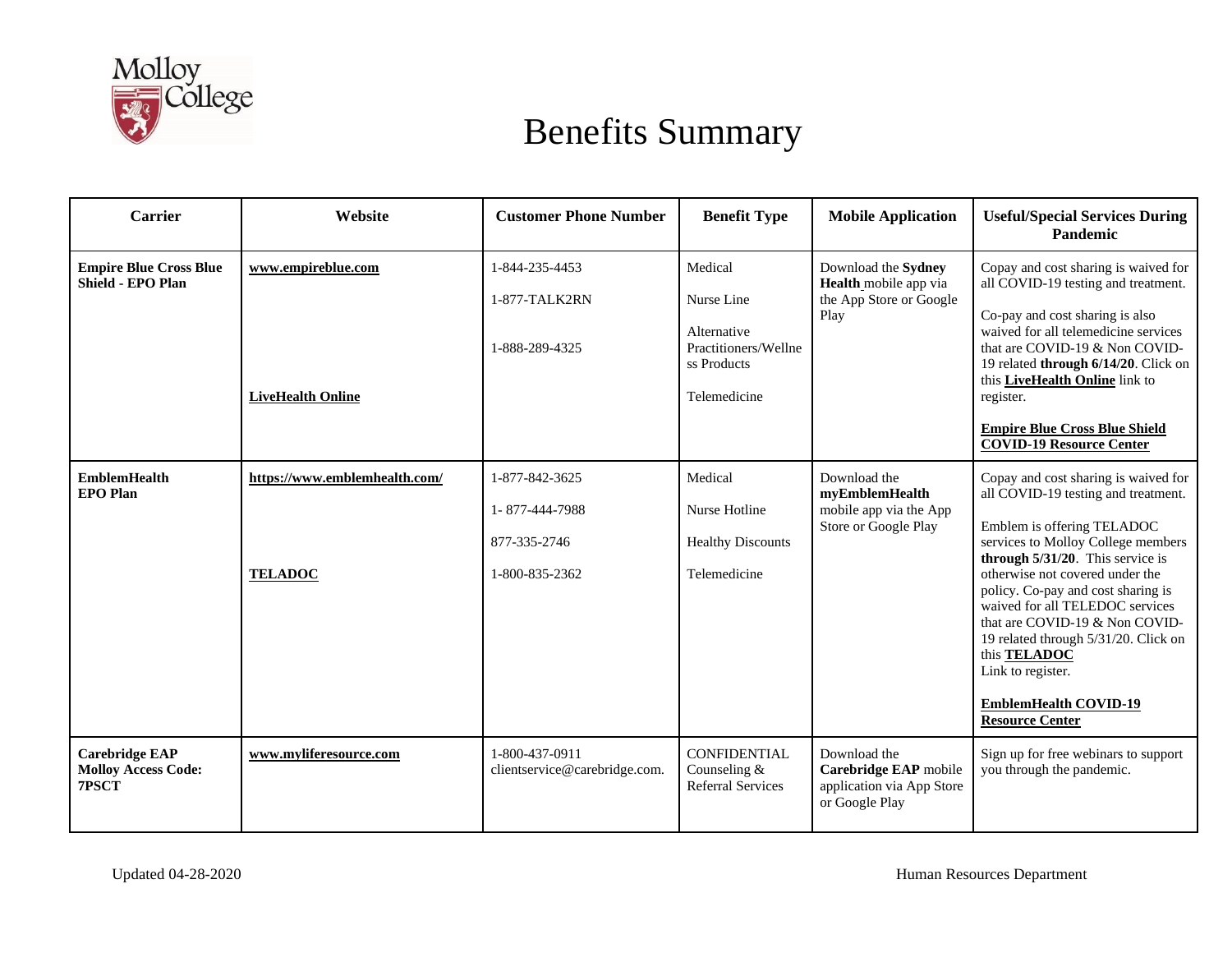

| Carrier                                                      | Website                                         | <b>Customer Phone Number</b>                                       | <b>Benefit Type</b>                                                                         | <b>Mobile Application</b>                                                            | <b>Useful/Special Services During</b><br>Pandemic                                                                                                                                                                                                                                                                                                                                                                                                                                  |
|--------------------------------------------------------------|-------------------------------------------------|--------------------------------------------------------------------|---------------------------------------------------------------------------------------------|--------------------------------------------------------------------------------------|------------------------------------------------------------------------------------------------------------------------------------------------------------------------------------------------------------------------------------------------------------------------------------------------------------------------------------------------------------------------------------------------------------------------------------------------------------------------------------|
| <b>Empire Blue Cross Blue</b><br><b>Shield - EPO Plan</b>    | www.empireblue.com<br><b>LiveHealth Online</b>  | 1-844-235-4453<br>1-877-TALK2RN<br>1-888-289-4325                  | Medical<br>Nurse Line<br>Alternative<br>Practitioners/Wellne<br>ss Products<br>Telemedicine | Download the Sydney<br>Health_mobile app via<br>the App Store or Google<br>Play      | Copay and cost sharing is waived for<br>all COVID-19 testing and treatment.<br>Co-pay and cost sharing is also<br>waived for all telemedicine services<br>that are COVID-19 & Non COVID-<br>19 related through 6/14/20. Click on<br>this LiveHealth Online link to<br>register.<br><b>Empire Blue Cross Blue Shield</b><br><b>COVID-19 Resource Center</b>                                                                                                                         |
| <b>EmblemHealth</b><br><b>EPO</b> Plan                       | https://www.emblemhealth.com/<br><b>TELADOC</b> | 1-877-842-3625<br>1-877-444-7988<br>877-335-2746<br>1-800-835-2362 | Medical<br>Nurse Hotline<br><b>Healthy Discounts</b><br>Telemedicine                        | Download the<br>myEmblemHealth<br>mobile app via the App<br>Store or Google Play     | Copay and cost sharing is waived for<br>all COVID-19 testing and treatment.<br>Emblem is offering TELADOC<br>services to Molloy College members<br>through $5/31/20$ . This service is<br>otherwise not covered under the<br>policy. Co-pay and cost sharing is<br>waived for all TELEDOC services<br>that are COVID-19 & Non COVID-<br>19 related through 5/31/20. Click on<br>this <b>TELADOC</b><br>Link to register.<br><b>EmblemHealth COVID-19</b><br><b>Resource Center</b> |
| <b>Carebridge EAP</b><br><b>Molloy Access Code:</b><br>7PSCT | www.myliferesource.com                          | 1-800-437-0911<br>clientservice@carebridge.com.                    | <b>CONFIDENTIAL</b><br>Counseling &<br><b>Referral Services</b>                             | Download the<br>Carebridge EAP mobile<br>application via App Store<br>or Google Play | Sign up for free webinars to support<br>you through the pandemic.                                                                                                                                                                                                                                                                                                                                                                                                                  |